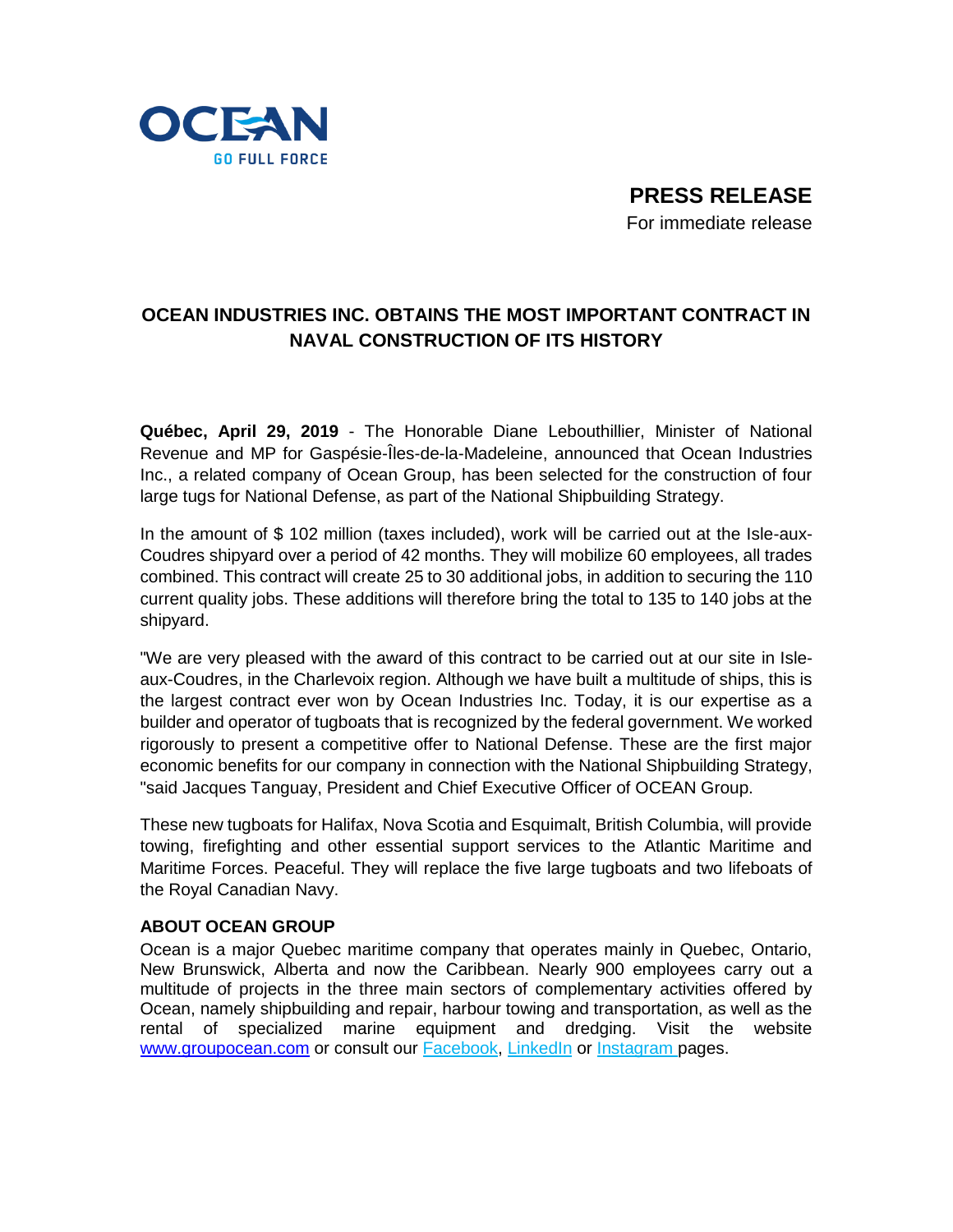

**PRESS RELEASE** For immediate release

## **OCEAN INDUSTRIES INC. OBTAINS THE MOST IMPORTANT CONTRACT IN NAVAL CONSTRUCTION OF ITS HISTORY**

**Québec, April 29, 2019** - The Honorable Diane Lebouthillier, Minister of National Revenue and MP for Gaspésie-Îles-de-la-Madeleine, announced that Ocean Industries Inc., a related company of Ocean Group, has been selected for the construction of four large tugs for National Defense, as part of the National Shipbuilding Strategy.

In the amount of \$ 102 million (taxes included), work will be carried out at the Isle-aux-Coudres shipyard over a period of 42 months. They will mobilize 60 employees, all trades combined. This contract will create 25 to 30 additional jobs, in addition to securing the 110 current quality jobs. These additions will therefore bring the total to 135 to 140 jobs at the shipyard.

"We are very pleased with the award of this contract to be carried out at our site in Isleaux-Coudres, in the Charlevoix region. Although we have built a multitude of ships, this is the largest contract ever won by Ocean Industries Inc. Today, it is our expertise as a builder and operator of tugboats that is recognized by the federal government. We worked rigorously to present a competitive offer to National Defense. These are the first major economic benefits for our company in connection with the National Shipbuilding Strategy, "said Jacques Tanguay, President and Chief Executive Officer of OCEAN Group.

These new tugboats for Halifax, Nova Scotia and Esquimalt, British Columbia, will provide towing, firefighting and other essential support services to the Atlantic Maritime and Maritime Forces. Peaceful. They will replace the five large tugboats and two lifeboats of the Royal Canadian Navy.

## **ABOUT OCEAN GROUP**

Ocean is a major Quebec maritime company that operates mainly in Quebec, Ontario, New Brunswick, Alberta and now the Caribbean. Nearly 900 employees carry out a multitude of projects in the three main sectors of complementary activities offered by Ocean, namely shipbuilding and repair, harbour towing and transportation, as well as the rental of specialized marine equipment and dredging. Visit the website [www.groupocean.com](http://www.groupocean.com/) or consult our [Facebook,](https://www.facebook.com/groupeocean/?eid=ARBSNJidvlBU8GJBnQRhNUNjyySiAAD-Rb824ZxQOwFLQvYAjMEcegRq7fauifRCuHZSd1WU777VtaUO) [LinkedIn](https://www.linkedin.com/company/le-groupe-oc-an-inc./) or [Instagram](https://www.instagram.com/groupeocean/) pages.